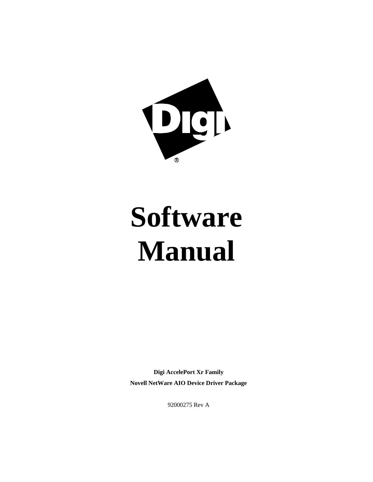

# **Software Manual**

**Digi AccelePort Xr Family Novell NetWare AIO Device Driver Package**

92000275 Rev A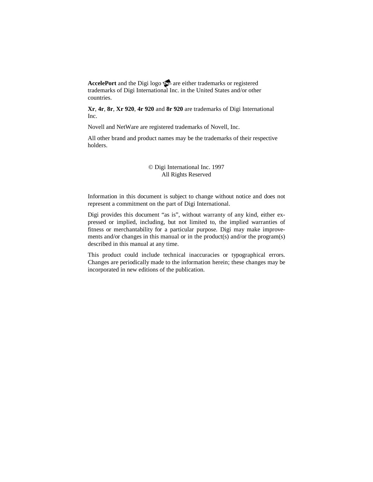AccelePort and the Digi logo are either trademarks or registered trademarks of Digi International Inc. in the United States and/or other countries.

**Xr**, **4r**, **8r**, **Xr 920**, **4r 920** and **8r 920** are trademarks of Digi International Inc.

Novell and NetWare are registered trademarks of Novell, Inc.

All other brand and product names may be the trademarks of their respective holders.

### © Digi International Inc. 1997 All Rights Reserved

Information in this document is subject to change without notice and does not represent a commitment on the part of Digi International.

Digi provides this document "as is", without warranty of any kind, either expressed or implied, including, but not limited to, the implied warranties of fitness or merchantability for a particular purpose. Digi may make improvements and/or changes in this manual or in the product(s) and/or the program(s) described in this manual at any time.

This product could include technical inaccuracies or typographical errors. Changes are periodically made to the information herein; these changes may be incorporated in new editions of the publication.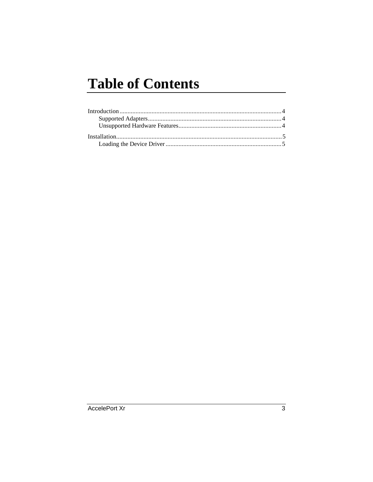# **Table of Contents**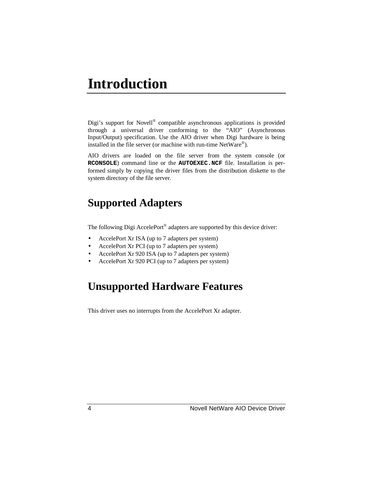## **Introduction**

Digi's support for Novell® compatible asynchronous applications is provided through a universal driver conforming to the "AIO" (Asynchronous Input/Output) specification. Use the AIO driver when Digi hardware is being installed in the file server (or machine with run-time NetWare®).

AIO drivers are loaded on the file server from the system console (or **RCONSOLE**) command line or the **AUTOEXEC.NCF** file. Installation is performed simply by copying the driver files from the distribution diskette to the system directory of the file server.

### **Supported Adapters**

The following Digi AccelePort<sup>®</sup> adapters are supported by this device driver:

- AccelePort Xr ISA (up to 7 adapters per system)
- AccelePort Xr PCI (up to 7 adapters per system)
- AccelePort Xr 920 ISA (up to 7 adapters per system)
- AccelePort Xr 920 PCI (up to 7 adapters per system)

### **Unsupported Hardware Features**

This driver uses no interrupts from the AccelePort Xr adapter.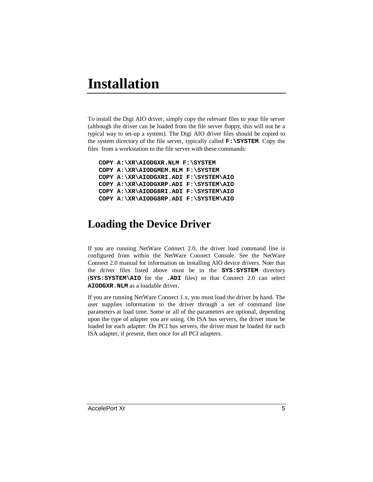# **Installation**

To install the Digi AIO driver, simply copy the relevant files to your file server (although the driver can be loaded from the file server floppy, this will not be a typical way to set-up a system). The Digi AIO driver files should be copied to the system directory of the file server, typically called **F:\SYSTEM**. Copy the files from a workstation to the file server with these commands:

**COPY A:\XR\AIODGXR.NLM F:\SYSTEM COPY A:\XR\AIODGMEM.NLM F:\SYSTEM COPY A:\XR\AIODGXRI.ADI F:\SYSTEM\AIO COPY A:\XR\AIODGXRP.ADI F:\SYSTEM\AIO COPY A:\XR\AIODG8RI.ADI F:\SYSTEM\AIO COPY A:\XR\AIODG8RP.ADI F:\SYSTEM\AIO**

### **Loading the Device Driver**

If you are running NetWare Connect 2.0, the driver load command line is configured from within the NetWare Connect Console. See the NetWare Connect 2.0 manual for information on installing AIO device drivers. Note that the driver files listed above must be in the **SYS:SYSTEM** directory (**SYS:SYSTEM\AIO** for the **.ADI** files) so that Connect 2.0 can select **AIODGXR.NLM** as a loadable driver.

If you are running NetWare Connect 1.x, you must load the driver by hand. The user supplies information to the driver through a set of command line parameters at load time. Some or all of the parameters are optional, depending upon the type of adapter you are using. On ISA bus servers, the driver must be loaded for each adapter. On PCI bus servers, the driver must be loaded for each ISA adapter, if present, then once for all PCI adapters.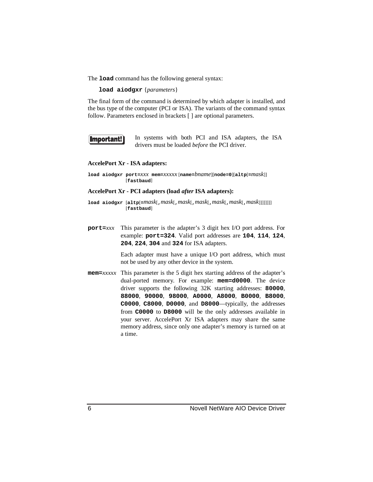The **load** command has the following general syntax:

**load aiodgxr** {*parameters*}

The final form of the command is determined by which adapter is installed, and the bus type of the computer (PCI or ISA). The variants of the command syntax follow. Parameters enclosed in brackets [ ] are optional parameters.



In systems with both PCI and ISA adapters, the ISA drivers must be loaded *before* the PCI driver.

#### **AccelePort Xr - ISA adapters:**

**load aiodgxr port=***xxx* **mem=***xxxxx* [**name=***bname*][**node=0**][**altp**[**=***mask*]] [**fastbaud**]

### **AccelePort Xr - PCI adapters (load** *after* **ISA adapters):**

- **load aiodgxr** [**altp**[**=***mask*[**,***mask*[**,***mask*[**,***mask*[**,***mask*[**,***mask*[**,***mask*]]]]]]]] [**fastbaud**]
- **port=***xxx* This parameter is the adapter's 3 digit hex I/O port address. For example: **port=324**. Valid port addresses are **104**, **114**, **124**, **204**, **224**, **304** and **324** for ISA adapters.

Each adapter must have a unique I/O port address, which must not be used by any other device in the system.

**mem=***xxxxx* This parameter is the 5 digit hex starting address of the adapter's dual-ported memory. For example: **mem=d0000**. The device driver supports the following 32K starting addresses: **80000**, **88000**, **90000**, **98000**, **A0000**, **A8000**, **B0000**, **B8000**, **C0000**, **C8000**, **D0000**, and **D8000**—typically, the addresses from **C0000** to **D8000** will be the only addresses available in your server. AccelePort Xr ISA adapters may share the same memory address, since only one adapter's memory is turned on at a time.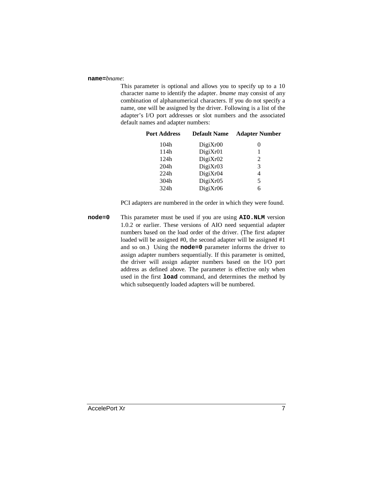#### **name=***bname*:

This parameter is optional and allows you to specify up to a 10 character name to identify the adapter. *bname* may consist of any combination of alphanumerical characters. If you do not specify a name, one will be assigned by the driver. Following is a list of the adapter's I/O port addresses or slot numbers and the associated default names and adapter numbers:

| <b>Port Address</b> | <b>Default Name</b> | <b>Adapter Number</b> |
|---------------------|---------------------|-----------------------|
| 104h                | DigitXr00           | 0                     |
| 114h                | DigiXr01            |                       |
| 124h                | DigiXr02            | 2                     |
| 204h                | DigiXr03            | 3                     |
| 224h                | DigiXr04            | 4                     |
| 304h                | DigiXr05            | 5                     |
| 324h                | DigiXr06            | 6                     |
|                     |                     |                       |

PCI adapters are numbered in the order in which they were found.

**node=0** This parameter must be used if you are using **AIO.NLM** version 1.0.2 or earlier. These versions of AIO need sequential adapter numbers based on the load order of the driver. (The first adapter loaded will be assigned #0, the second adapter will be assigned #1 and so on.) Using the **node=0** parameter informs the driver to assign adapter numbers sequentially. If this parameter is omitted, the driver will assign adapter numbers based on the I/O port address as defined above. The parameter is effective only when used in the first **load** command, and determines the method by which subsequently loaded adapters will be numbered.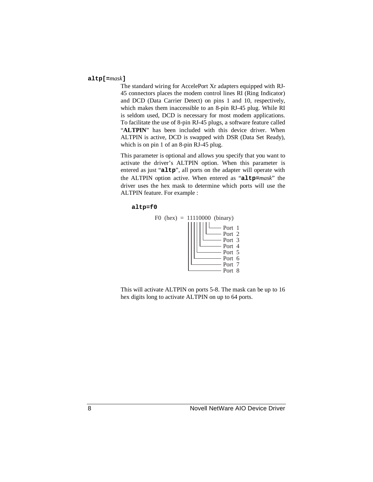### **altp[=***mask***]**

The standard wiring for AccelePort Xr adapters equipped with RJ-45 connectors places the modem control lines RI (Ring Indicator) and DCD (Data Carrier Detect) on pins 1 and 10, respectively, which makes them inaccessible to an 8-pin RJ-45 plug. While RI is seldom used, DCD is necessary for most modem applications. To facilitate the use of 8-pin RJ-45 plugs, a software feature called "**ALTPIN**" has been included with this device driver. When ALTPIN is active, DCD is swapped with DSR (Data Set Ready), which is on pin 1 of an 8-pin RJ-45 plug.

This parameter is optional and allows you specify that you want to activate the driver's ALTPIN option. When this parameter is entered as just "**altp**", all ports on the adapter will operate with the ALTPIN option active. When entered as "**altp=***mask*" the driver uses the hex mask to determine which ports will use the ALTPIN feature. For example :





This will activate ALTPIN on ports 5-8. The mask can be up to 16 hex digits long to activate ALTPIN on up to 64 ports.